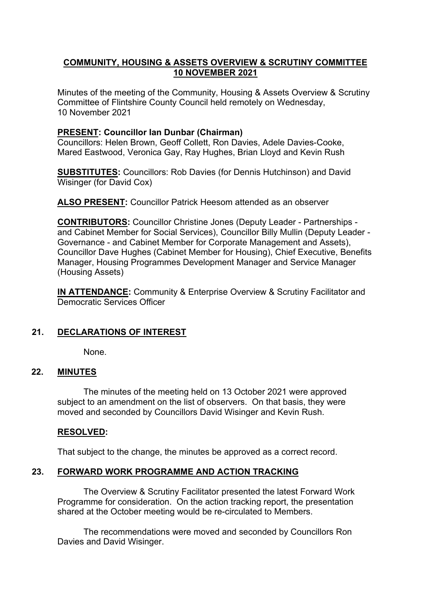## **COMMUNITY, HOUSING & ASSETS OVERVIEW & SCRUTINY COMMITTEE 10 NOVEMBER 2021**

Minutes of the meeting of the Community, Housing & Assets Overview & Scrutiny Committee of Flintshire County Council held remotely on Wednesday, 10 November 2021

#### **PRESENT: Councillor Ian Dunbar (Chairman)**

Councillors: Helen Brown, Geoff Collett, Ron Davies, Adele Davies-Cooke, Mared Eastwood, Veronica Gay, Ray Hughes, Brian Lloyd and Kevin Rush

**SUBSTITUTES:** Councillors: Rob Davies (for Dennis Hutchinson) and David Wisinger (for David Cox)

**ALSO PRESENT:** Councillor Patrick Heesom attended as an observer

**CONTRIBUTORS:** Councillor Christine Jones (Deputy Leader - Partnerships and Cabinet Member for Social Services), Councillor Billy Mullin (Deputy Leader - Governance - and Cabinet Member for Corporate Management and Assets), Councillor Dave Hughes (Cabinet Member for Housing), Chief Executive, Benefits Manager, Housing Programmes Development Manager and Service Manager (Housing Assets)

**IN ATTENDANCE:** Community & Enterprise Overview & Scrutiny Facilitator and Democratic Services Officer

# **21. DECLARATIONS OF INTEREST**

None.

### **22. MINUTES**

The minutes of the meeting held on 13 October 2021 were approved subject to an amendment on the list of observers. On that basis, they were moved and seconded by Councillors David Wisinger and Kevin Rush.

#### **RESOLVED:**

That subject to the change, the minutes be approved as a correct record.

### **23. FORWARD WORK PROGRAMME AND ACTION TRACKING**

The Overview & Scrutiny Facilitator presented the latest Forward Work Programme for consideration. On the action tracking report, the presentation shared at the October meeting would be re-circulated to Members.

The recommendations were moved and seconded by Councillors Ron Davies and David Wisinger.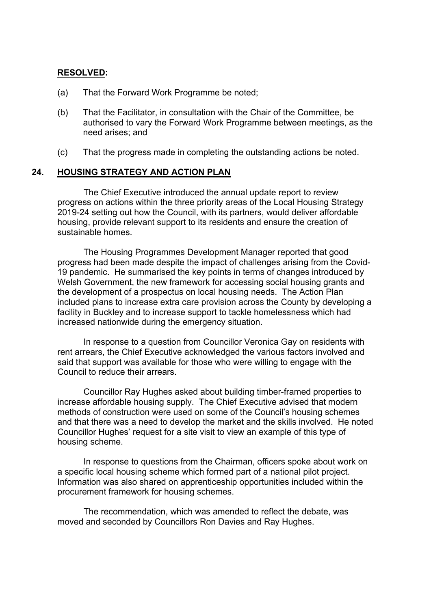#### **RESOLVED:**

- (a) That the Forward Work Programme be noted;
- (b) That the Facilitator, in consultation with the Chair of the Committee, be authorised to vary the Forward Work Programme between meetings, as the need arises; and
- (c) That the progress made in completing the outstanding actions be noted.

### **24. HOUSING STRATEGY AND ACTION PLAN**

The Chief Executive introduced the annual update report to review progress on actions within the three priority areas of the Local Housing Strategy 2019-24 setting out how the Council, with its partners, would deliver affordable housing, provide relevant support to its residents and ensure the creation of sustainable homes.

The Housing Programmes Development Manager reported that good progress had been made despite the impact of challenges arising from the Covid-19 pandemic. He summarised the key points in terms of changes introduced by Welsh Government, the new framework for accessing social housing grants and the development of a prospectus on local housing needs. The Action Plan included plans to increase extra care provision across the County by developing a facility in Buckley and to increase support to tackle homelessness which had increased nationwide during the emergency situation.

In response to a question from Councillor Veronica Gay on residents with rent arrears, the Chief Executive acknowledged the various factors involved and said that support was available for those who were willing to engage with the Council to reduce their arrears.

Councillor Ray Hughes asked about building timber-framed properties to increase affordable housing supply. The Chief Executive advised that modern methods of construction were used on some of the Council's housing schemes and that there was a need to develop the market and the skills involved. He noted Councillor Hughes' request for a site visit to view an example of this type of housing scheme.

In response to questions from the Chairman, officers spoke about work on a specific local housing scheme which formed part of a national pilot project. Information was also shared on apprenticeship opportunities included within the procurement framework for housing schemes.

The recommendation, which was amended to reflect the debate, was moved and seconded by Councillors Ron Davies and Ray Hughes.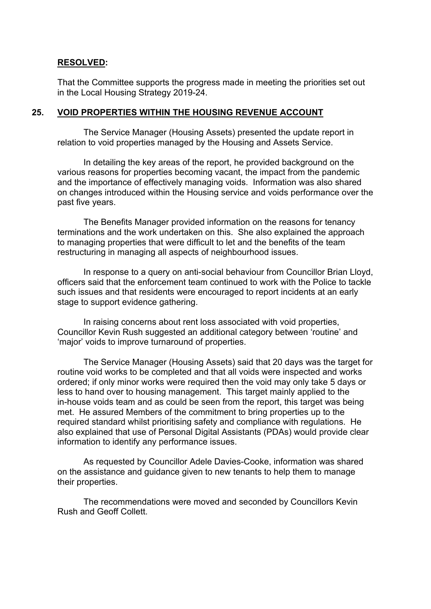#### **RESOLVED:**

That the Committee supports the progress made in meeting the priorities set out in the Local Housing Strategy 2019-24.

#### **25. VOID PROPERTIES WITHIN THE HOUSING REVENUE ACCOUNT**

The Service Manager (Housing Assets) presented the update report in relation to void properties managed by the Housing and Assets Service.

In detailing the key areas of the report, he provided background on the various reasons for properties becoming vacant, the impact from the pandemic and the importance of effectively managing voids. Information was also shared on changes introduced within the Housing service and voids performance over the past five years.

The Benefits Manager provided information on the reasons for tenancy terminations and the work undertaken on this. She also explained the approach to managing properties that were difficult to let and the benefits of the team restructuring in managing all aspects of neighbourhood issues.

In response to a query on anti-social behaviour from Councillor Brian Lloyd, officers said that the enforcement team continued to work with the Police to tackle such issues and that residents were encouraged to report incidents at an early stage to support evidence gathering.

In raising concerns about rent loss associated with void properties, Councillor Kevin Rush suggested an additional category between 'routine' and 'major' voids to improve turnaround of properties.

The Service Manager (Housing Assets) said that 20 days was the target for routine void works to be completed and that all voids were inspected and works ordered; if only minor works were required then the void may only take 5 days or less to hand over to housing management. This target mainly applied to the in-house voids team and as could be seen from the report, this target was being met. He assured Members of the commitment to bring properties up to the required standard whilst prioritising safety and compliance with regulations. He also explained that use of Personal Digital Assistants (PDAs) would provide clear information to identify any performance issues.

As requested by Councillor Adele Davies-Cooke, information was shared on the assistance and guidance given to new tenants to help them to manage their properties.

The recommendations were moved and seconded by Councillors Kevin Rush and Geoff Collett.